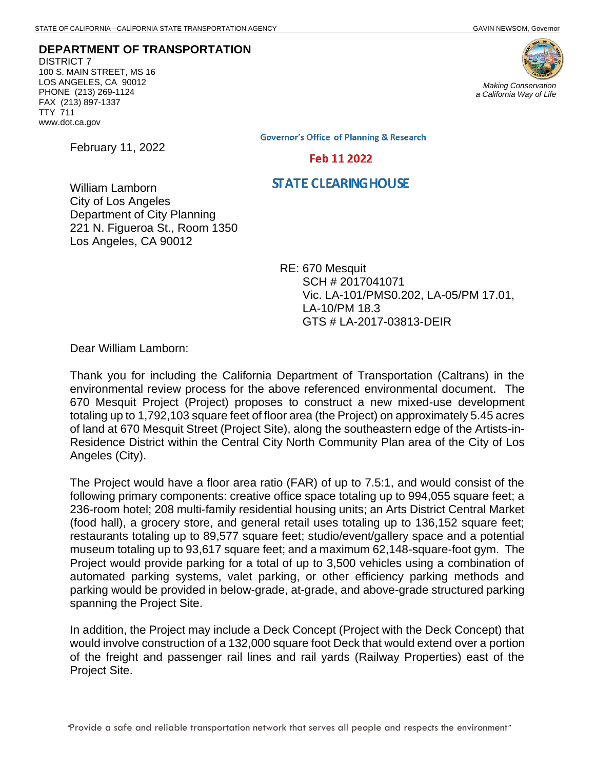**DEPARTMENT OF TRANSPORTATION** DISTRICT 7 100 S. MAIN STREET, MS 16 LOS ANGELES, CA 90012 PHONE (213) 269-1124 FAX (213) 897-1337 TTY 711 www.dot.ca.gov

February 11, 2022



*a California Way of Life*

**Governor's Office of Planning & Research** 

#### Feb 11 2022

#### **STATE CLEARING HOUSE**

William Lamborn City of Los Angeles Department of City Planning 221 N. Figueroa St., Room 1350 Los Angeles, CA 90012

> RE: 670 Mesquit SCH # 2017041071 Vic. LA-101/PMS0.202, LA-05/PM 17.01, LA-10/PM 18.3 GTS # LA-2017-03813-DEIR

Dear William Lamborn:

Thank you for including the California Department of Transportation (Caltrans) in the environmental review process for the above referenced environmental document. The 670 Mesquit Project (Project) proposes to construct a new mixed-use development totaling up to 1,792,103 square feet of floor area (the Project) on approximately 5.45 acres of land at 670 Mesquit Street (Project Site), along the southeastern edge of the Artists-in-Residence District within the Central City North Community Plan area of the City of Los Angeles (City).

The Project would have a floor area ratio (FAR) of up to 7.5:1, and would consist of the following primary components: creative office space totaling up to 994,055 square feet; a 236-room hotel; 208 multi-family residential housing units; an Arts District Central Market (food hall), a grocery store, and general retail uses totaling up to 136,152 square feet; restaurants totaling up to 89,577 square feet; studio/event/gallery space and a potential museum totaling up to 93,617 square feet; and a maximum 62,148-square-foot gym. The Project would provide parking for a total of up to 3,500 vehicles using a combination of automated parking systems, valet parking, or other efficiency parking methods and parking would be provided in below-grade, at-grade, and above-grade structured parking spanning the Project Site.

In addition, the Project may include a Deck Concept (Project with the Deck Concept) that would involve construction of a 132,000 square foot Deck that would extend over a portion of the freight and passenger rail lines and rail yards (Railway Properties) east of the Project Site.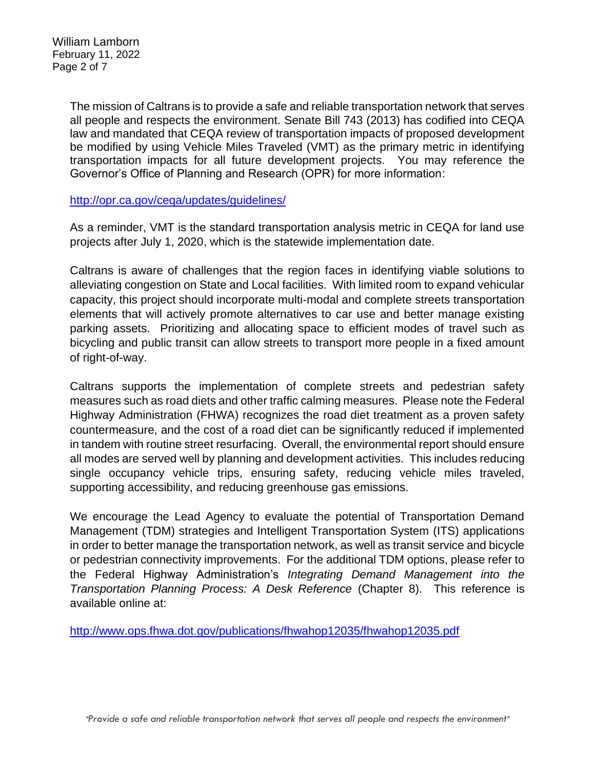The mission of Caltrans is to provide a safe and reliable transportation network that serves all people and respects the environment. Senate Bill 743 (2013) has codified into CEQA law and mandated that CEQA review of transportation impacts of proposed development be modified by using Vehicle Miles Traveled (VMT) as the primary metric in identifying transportation impacts for all future development projects. You may reference the Governor's Office of Planning and Research (OPR) for more information:

<http://opr.ca.gov/ceqa/updates/guidelines/>

As a reminder, VMT is the standard transportation analysis metric in CEQA for land use projects after July 1, 2020, which is the statewide implementation date.

Caltrans is aware of challenges that the region faces in identifying viable solutions to alleviating congestion on State and Local facilities. With limited room to expand vehicular capacity, this project should incorporate multi-modal and complete streets transportation elements that will actively promote alternatives to car use and better manage existing parking assets. Prioritizing and allocating space to efficient modes of travel such as bicycling and public transit can allow streets to transport more people in a fixed amount of right-of-way.

Caltrans supports the implementation of complete streets and pedestrian safety measures such as road diets and other traffic calming measures. Please note the Federal Highway Administration (FHWA) recognizes the road diet treatment as a proven safety countermeasure, and the cost of a road diet can be significantly reduced if implemented in tandem with routine street resurfacing. Overall, the environmental report should ensure all modes are served well by planning and development activities. This includes reducing single occupancy vehicle trips, ensuring safety, reducing vehicle miles traveled, supporting accessibility, and reducing greenhouse gas emissions.

We encourage the Lead Agency to evaluate the potential of Transportation Demand Management (TDM) strategies and Intelligent Transportation System (ITS) applications in order to better manage the transportation network, as well as transit service and bicycle or pedestrian connectivity improvements. For the additional TDM options, please refer to the Federal Highway Administration's *Integrating Demand Management into the Transportation Planning Process: A Desk Reference* (Chapter 8).This reference is available online at:

<http://www.ops.fhwa.dot.gov/publications/fhwahop12035/fhwahop12035.pdf>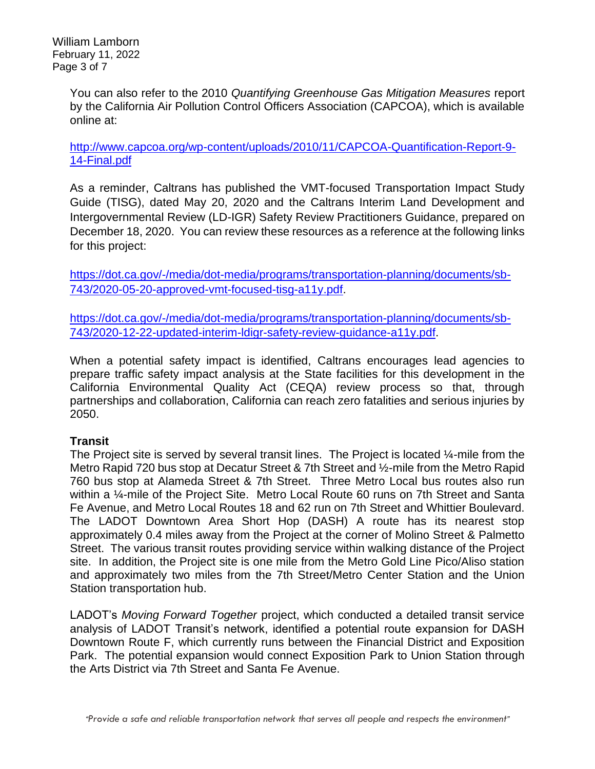You can also refer to the 2010 *Quantifying Greenhouse Gas Mitigation Measures* report by the California Air Pollution Control Officers Association (CAPCOA), which is available online at:

[http://www.capcoa.org/wp-content/uploads/2010/11/CAPCOA-Quantification-Report-9-](http://www.capcoa.org/wp-content/uploads/2010/11/CAPCOA-Quantification-Report-9-14-Final.pdf) [14-Final.pdf](http://www.capcoa.org/wp-content/uploads/2010/11/CAPCOA-Quantification-Report-9-14-Final.pdf)

As a reminder, Caltrans has published the VMT-focused Transportation Impact Study Guide (TISG), dated May 20, 2020 and the Caltrans Interim Land Development and Intergovernmental Review (LD-IGR) Safety Review Practitioners Guidance, prepared on December 18, 2020. You can review these resources as a reference at the following links for this project:

[https://dot.ca.gov/-/media/dot-media/programs/transportation-planning/documents/sb-](https://dot.ca.gov/-/media/dot-media/programs/transportation-planning/documents/sb-743/2020-05-20-approved-vmt-focused-tisg-a11y.pdf)[743/2020-05-20-approved-vmt-focused-tisg-a11y.pdf.](https://dot.ca.gov/-/media/dot-media/programs/transportation-planning/documents/sb-743/2020-05-20-approved-vmt-focused-tisg-a11y.pdf)

[https://dot.ca.gov/-/media/dot-media/programs/transportation-planning/documents/sb-](https://dot.ca.gov/-/media/dot-media/programs/transportation-planning/documents/sb-743/2020-12-22-updated-interim-ldigr-safety-review-guidance-a11y.pdf)[743/2020-12-22-updated-interim-ldigr-safety-review-guidance-a11y.pdf.](https://dot.ca.gov/-/media/dot-media/programs/transportation-planning/documents/sb-743/2020-12-22-updated-interim-ldigr-safety-review-guidance-a11y.pdf)

When a potential safety impact is identified, Caltrans encourages lead agencies to prepare traffic safety impact analysis at the State facilities for this development in the California Environmental Quality Act (CEQA) review process so that, through partnerships and collaboration, California can reach zero fatalities and serious injuries by 2050.

# **Transit**

The Project site is served by several transit lines. The Project is located 1/4-mile from the Metro Rapid 720 bus stop at Decatur Street & 7th Street and ½-mile from the Metro Rapid 760 bus stop at Alameda Street & 7th Street. Three Metro Local bus routes also run within a ¼-mile of the Project Site. Metro Local Route 60 runs on 7th Street and Santa Fe Avenue, and Metro Local Routes 18 and 62 run on 7th Street and Whittier Boulevard. The LADOT Downtown Area Short Hop (DASH) A route has its nearest stop approximately 0.4 miles away from the Project at the corner of Molino Street & Palmetto Street. The various transit routes providing service within walking distance of the Project site. In addition, the Project site is one mile from the Metro Gold Line Pico/Aliso station and approximately two miles from the 7th Street/Metro Center Station and the Union Station transportation hub.

LADOT's *Moving Forward Together* project, which conducted a detailed transit service analysis of LADOT Transit's network, identified a potential route expansion for DASH Downtown Route F, which currently runs between the Financial District and Exposition Park. The potential expansion would connect Exposition Park to Union Station through the Arts District via 7th Street and Santa Fe Avenue.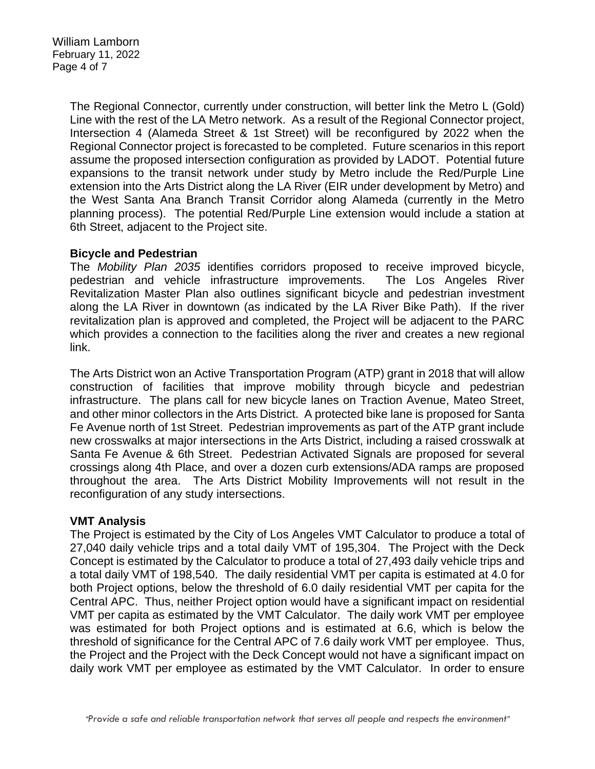The Regional Connector, currently under construction, will better link the Metro L (Gold) Line with the rest of the LA Metro network. As a result of the Regional Connector project, Intersection 4 (Alameda Street & 1st Street) will be reconfigured by 2022 when the Regional Connector project is forecasted to be completed. Future scenarios in this report assume the proposed intersection configuration as provided by LADOT. Potential future expansions to the transit network under study by Metro include the Red/Purple Line extension into the Arts District along the LA River (EIR under development by Metro) and the West Santa Ana Branch Transit Corridor along Alameda (currently in the Metro planning process). The potential Red/Purple Line extension would include a station at 6th Street, adjacent to the Project site.

## **Bicycle and Pedestrian**

The *Mobility Plan 2035* identifies corridors proposed to receive improved bicycle, pedestrian and vehicle infrastructure improvements. The Los Angeles River Revitalization Master Plan also outlines significant bicycle and pedestrian investment along the LA River in downtown (as indicated by the LA River Bike Path). If the river revitalization plan is approved and completed, the Project will be adjacent to the PARC which provides a connection to the facilities along the river and creates a new regional link.

The Arts District won an Active Transportation Program (ATP) grant in 2018 that will allow construction of facilities that improve mobility through bicycle and pedestrian infrastructure. The plans call for new bicycle lanes on Traction Avenue, Mateo Street, and other minor collectors in the Arts District. A protected bike lane is proposed for Santa Fe Avenue north of 1st Street. Pedestrian improvements as part of the ATP grant include new crosswalks at major intersections in the Arts District, including a raised crosswalk at Santa Fe Avenue & 6th Street. Pedestrian Activated Signals are proposed for several crossings along 4th Place, and over a dozen curb extensions/ADA ramps are proposed throughout the area. The Arts District Mobility Improvements will not result in the reconfiguration of any study intersections.

## **VMT Analysis**

The Project is estimated by the City of Los Angeles VMT Calculator to produce a total of 27,040 daily vehicle trips and a total daily VMT of 195,304. The Project with the Deck Concept is estimated by the Calculator to produce a total of 27,493 daily vehicle trips and a total daily VMT of 198,540. The daily residential VMT per capita is estimated at 4.0 for both Project options, below the threshold of 6.0 daily residential VMT per capita for the Central APC. Thus, neither Project option would have a significant impact on residential VMT per capita as estimated by the VMT Calculator. The daily work VMT per employee was estimated for both Project options and is estimated at 6.6, which is below the threshold of significance for the Central APC of 7.6 daily work VMT per employee. Thus, the Project and the Project with the Deck Concept would not have a significant impact on daily work VMT per employee as estimated by the VMT Calculator. In order to ensure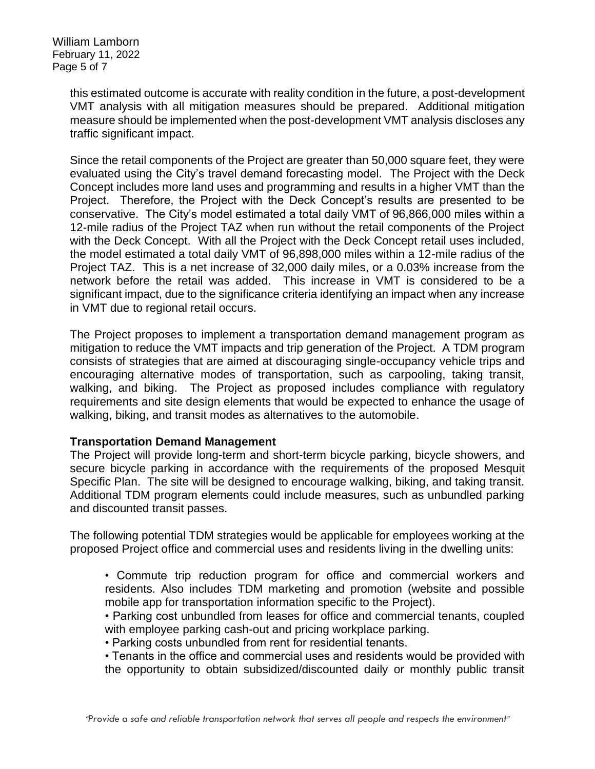William Lamborn February 11, 2022 Page 5 of 7

> this estimated outcome is accurate with reality condition in the future, a post-development VMT analysis with all mitigation measures should be prepared. Additional mitigation measure should be implemented when the post-development VMT analysis discloses any traffic significant impact.

> Since the retail components of the Project are greater than 50,000 square feet, they were evaluated using the City's travel demand forecasting model. The Project with the Deck Concept includes more land uses and programming and results in a higher VMT than the Project. Therefore, the Project with the Deck Concept's results are presented to be conservative. The City's model estimated a total daily VMT of 96,866,000 miles within a 12-mile radius of the Project TAZ when run without the retail components of the Project with the Deck Concept. With all the Project with the Deck Concept retail uses included, the model estimated a total daily VMT of 96,898,000 miles within a 12-mile radius of the Project TAZ. This is a net increase of 32,000 daily miles, or a 0.03% increase from the network before the retail was added. This increase in VMT is considered to be a significant impact, due to the significance criteria identifying an impact when any increase in VMT due to regional retail occurs.

> The Project proposes to implement a transportation demand management program as mitigation to reduce the VMT impacts and trip generation of the Project. A TDM program consists of strategies that are aimed at discouraging single-occupancy vehicle trips and encouraging alternative modes of transportation, such as carpooling, taking transit, walking, and biking. The Project as proposed includes compliance with regulatory requirements and site design elements that would be expected to enhance the usage of walking, biking, and transit modes as alternatives to the automobile.

#### **Transportation Demand Management**

The Project will provide long-term and short-term bicycle parking, bicycle showers, and secure bicycle parking in accordance with the requirements of the proposed Mesquit Specific Plan. The site will be designed to encourage walking, biking, and taking transit. Additional TDM program elements could include measures, such as unbundled parking and discounted transit passes.

The following potential TDM strategies would be applicable for employees working at the proposed Project office and commercial uses and residents living in the dwelling units:

- Commute trip reduction program for office and commercial workers and residents. Also includes TDM marketing and promotion (website and possible mobile app for transportation information specific to the Project).
- Parking cost unbundled from leases for office and commercial tenants, coupled with employee parking cash-out and pricing workplace parking.
- Parking costs unbundled from rent for residential tenants.
- Tenants in the office and commercial uses and residents would be provided with the opportunity to obtain subsidized/discounted daily or monthly public transit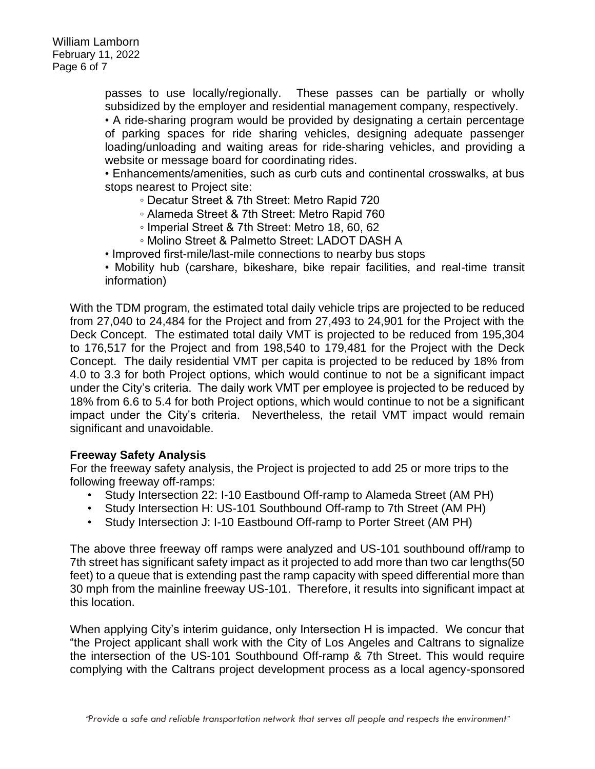passes to use locally/regionally. These passes can be partially or wholly subsidized by the employer and residential management company, respectively.

• A ride-sharing program would be provided by designating a certain percentage of parking spaces for ride sharing vehicles, designing adequate passenger loading/unloading and waiting areas for ride-sharing vehicles, and providing a website or message board for coordinating rides.

• Enhancements/amenities, such as curb cuts and continental crosswalks, at bus stops nearest to Project site:

- Decatur Street & 7th Street: Metro Rapid 720
- Alameda Street & 7th Street: Metro Rapid 760
- Imperial Street & 7th Street: Metro 18, 60, 62
- Molino Street & Palmetto Street: LADOT DASH A
- Improved first-mile/last-mile connections to nearby bus stops
- Mobility hub (carshare, bikeshare, bike repair facilities, and real-time transit information)

With the TDM program, the estimated total daily vehicle trips are projected to be reduced from 27,040 to 24,484 for the Project and from 27,493 to 24,901 for the Project with the Deck Concept. The estimated total daily VMT is projected to be reduced from 195,304 to 176,517 for the Project and from 198,540 to 179,481 for the Project with the Deck Concept. The daily residential VMT per capita is projected to be reduced by 18% from 4.0 to 3.3 for both Project options, which would continue to not be a significant impact under the City's criteria. The daily work VMT per employee is projected to be reduced by 18% from 6.6 to 5.4 for both Project options, which would continue to not be a significant impact under the City's criteria. Nevertheless, the retail VMT impact would remain significant and unavoidable.

## **Freeway Safety Analysis**

For the freeway safety analysis, the Project is projected to add 25 or more trips to the following freeway off-ramps:

- Study Intersection 22: I-10 Eastbound Off-ramp to Alameda Street (AM PH)
- Study Intersection H: US-101 Southbound Off-ramp to 7th Street (AM PH)
- Study Intersection J: I-10 Eastbound Off-ramp to Porter Street (AM PH)

The above three freeway off ramps were analyzed and US-101 southbound off/ramp to 7th street has significant safety impact as it projected to add more than two car lengths(50 feet) to a queue that is extending past the ramp capacity with speed differential more than 30 mph from the mainline freeway US-101. Therefore, it results into significant impact at this location.

When applying City's interim guidance, only Intersection H is impacted. We concur that "the Project applicant shall work with the City of Los Angeles and Caltrans to signalize the intersection of the US-101 Southbound Off-ramp & 7th Street. This would require complying with the Caltrans project development process as a local agency-sponsored